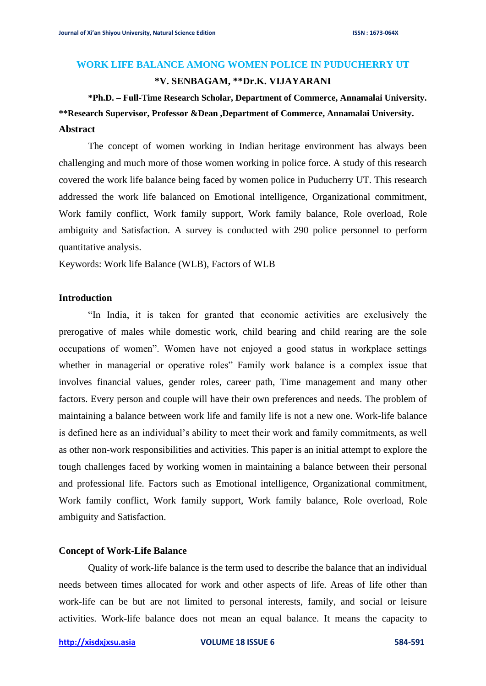#### **WORK LIFE BALANCE AMONG WOMEN POLICE IN PUDUCHERRY UT**

### **\*V. SENBAGAM, \*\*Dr.K. VIJAYARANI**

# **\*Ph.D. – Full-Time Research Scholar, Department of Commerce, Annamalai University. \*\*Research Supervisor, Professor &Dean ,Department of Commerce, Annamalai University. Abstract**

The concept of women working in Indian heritage environment has always been challenging and much more of those women working in police force. A study of this research covered the work life balance being faced by women police in Puducherry UT. This research addressed the work life balanced on Emotional intelligence, Organizational commitment, Work family conflict, Work family support, Work family balance, Role overload, Role ambiguity and Satisfaction. A survey is conducted with 290 police personnel to perform quantitative analysis.

Keywords: Work life Balance (WLB), Factors of WLB

#### **Introduction**

"In India, it is taken for granted that economic activities are exclusively the prerogative of males while domestic work, child bearing and child rearing are the sole occupations of women". Women have not enjoyed a good status in workplace settings whether in managerial or operative roles" Family work balance is a complex issue that involves financial values, gender roles, career path, Time management and many other factors. Every person and couple will have their own preferences and needs. The problem of maintaining a balance between work life and family life is not a new one. Work-life balance is defined here as an individual's ability to meet their work and family commitments, as well as other non-work responsibilities and activities. This paper is an initial attempt to explore the tough challenges faced by working women in maintaining a balance between their personal and professional life. Factors such as Emotional intelligence, Organizational commitment, Work family conflict, Work family support, Work family balance, Role overload, Role ambiguity and Satisfaction.

#### **Concept of Work-Life Balance**

Quality of work-life balance is the term used to describe the balance that an individual needs between times allocated for work and other aspects of life. Areas of life other than work-life can be but are not limited to personal interests, family, and social or leisure activities. Work-life balance does not mean an equal balance. It means the capacity to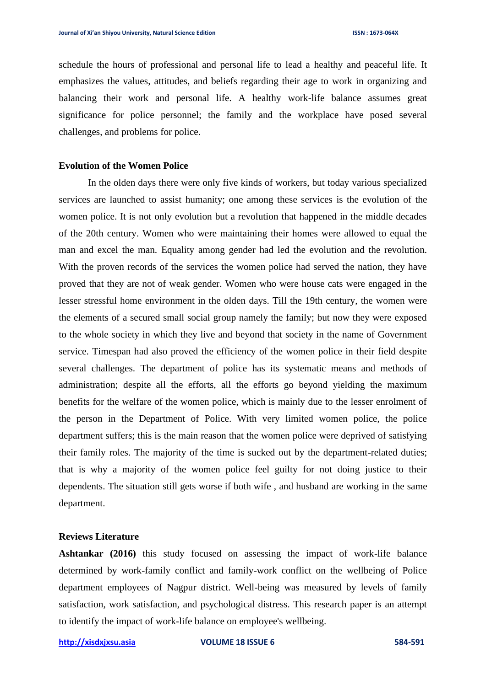schedule the hours of professional and personal life to lead a healthy and peaceful life. It emphasizes the values, attitudes, and beliefs regarding their age to work in organizing and balancing their work and personal life. A healthy work-life balance assumes great significance for police personnel; the family and the workplace have posed several challenges, and problems for police.

## **Evolution of the Women Police**

In the olden days there were only five kinds of workers, but today various specialized services are launched to assist humanity; one among these services is the evolution of the women police. It is not only evolution but a revolution that happened in the middle decades of the 20th century. Women who were maintaining their homes were allowed to equal the man and excel the man. Equality among gender had led the evolution and the revolution. With the proven records of the services the women police had served the nation, they have proved that they are not of weak gender. Women who were house cats were engaged in the lesser stressful home environment in the olden days. Till the 19th century, the women were the elements of a secured small social group namely the family; but now they were exposed to the whole society in which they live and beyond that society in the name of Government service. Timespan had also proved the efficiency of the women police in their field despite several challenges. The department of police has its systematic means and methods of administration; despite all the efforts, all the efforts go beyond yielding the maximum benefits for the welfare of the women police, which is mainly due to the lesser enrolment of the person in the Department of Police. With very limited women police, the police department suffers; this is the main reason that the women police were deprived of satisfying their family roles. The majority of the time is sucked out by the department-related duties; that is why a majority of the women police feel guilty for not doing justice to their dependents. The situation still gets worse if both wife , and husband are working in the same department.

#### **Reviews Literature**

**Ashtankar (2016)** this study focused on assessing the impact of work-life balance determined by work-family conflict and family-work conflict on the wellbeing of Police department employees of Nagpur district. Well-being was measured by levels of family satisfaction, work satisfaction, and psychological distress. This research paper is an attempt to identify the impact of work-life balance on employee's wellbeing.

**[http://xisdxjxsu.asia](http://xisdxjxsu.asia/) VOLUME 18 ISSUE 6 584-591**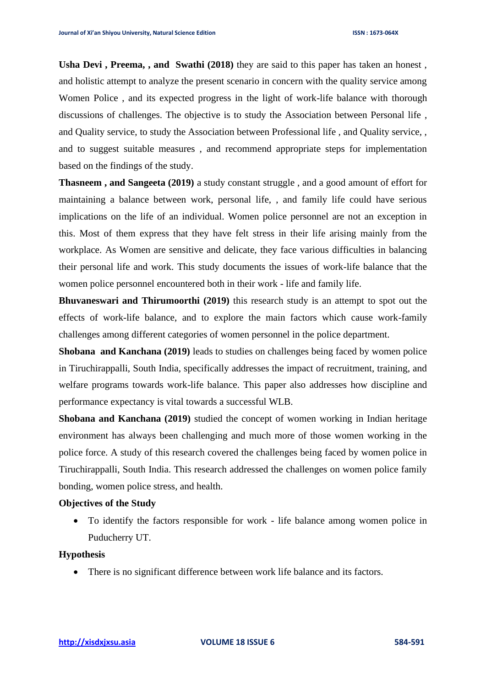**Usha Devi , Preema, , and Swathi (2018)** they are said to this paper has taken an honest , and holistic attempt to analyze the present scenario in concern with the quality service among Women Police , and its expected progress in the light of work-life balance with thorough discussions of challenges. The objective is to study the Association between Personal life , and Quality service, to study the Association between Professional life , and Quality service, , and to suggest suitable measures , and recommend appropriate steps for implementation based on the findings of the study.

**Thasneem , and Sangeeta (2019)** a study constant struggle , and a good amount of effort for maintaining a balance between work, personal life, , and family life could have serious implications on the life of an individual. Women police personnel are not an exception in this. Most of them express that they have felt stress in their life arising mainly from the workplace. As Women are sensitive and delicate, they face various difficulties in balancing their personal life and work. This study documents the issues of work-life balance that the women police personnel encountered both in their work - life and family life.

**Bhuvaneswari and Thirumoorthi (2019)** this research study is an attempt to spot out the effects of work-life balance, and to explore the main factors which cause work-family challenges among different categories of women personnel in the police department.

**Shobana and Kanchana (2019)** leads to studies on challenges being faced by women police in Tiruchirappalli, South India, specifically addresses the impact of recruitment, training, and welfare programs towards work-life balance. This paper also addresses how discipline and performance expectancy is vital towards a successful WLB.

**Shobana and Kanchana (2019)** studied the concept of women working in Indian heritage environment has always been challenging and much more of those women working in the police force. A study of this research covered the challenges being faced by women police in Tiruchirappalli, South India. This research addressed the challenges on women police family bonding, women police stress, and health.

## **Objectives of the Study**

• To identify the factors responsible for work - life balance among women police in Puducherry UT.

## **Hypothesis**

• There is no significant difference between work life balance and its factors.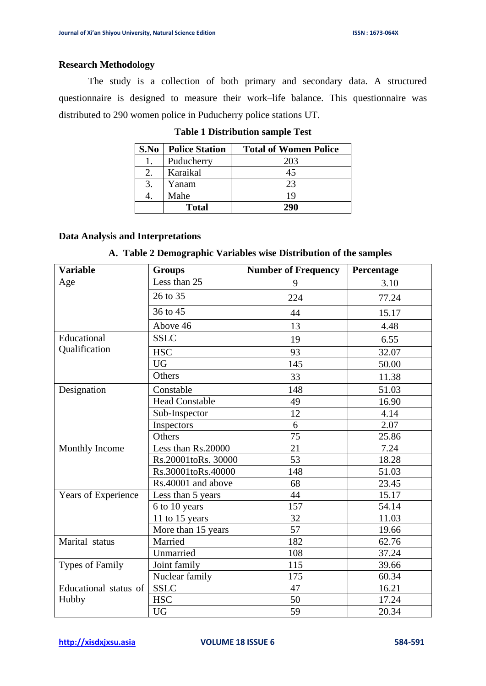#### **Research Methodology**

The study is a collection of both primary and secondary data. A structured questionnaire is designed to measure their work–life balance. This questionnaire was distributed to 290 women police in Puducherry police stations UT.

| S.No | <b>Police Station</b> | <b>Total of Women Police</b> |
|------|-----------------------|------------------------------|
| 1.   | Puducherry            | 203                          |
|      | Karaikal              | 45                           |
| 3.   | Yanam                 | 23                           |
|      | Mahe                  | 19                           |
|      | <b>Total</b>          | 290                          |

## **Table 1 Distribution sample Test**

## **Data Analysis and Interpretations**

## **A. Table 2 Demographic Variables wise Distribution of the samples**

| <b>Variable</b>        | <b>Groups</b>         | <b>Number of Frequency</b> | Percentage |  |
|------------------------|-----------------------|----------------------------|------------|--|
| Age                    | Less than 25          | 9                          | 3.10       |  |
|                        | 26 to 35              | 224                        | 77.24      |  |
|                        | 36 to 45              | 44                         | 15.17      |  |
|                        | Above 46              | 13                         | 4.48       |  |
| Educational            | <b>SSLC</b>           | 19                         | 6.55       |  |
| Qualification          | <b>HSC</b>            | 93                         | 32.07      |  |
|                        | <b>UG</b>             | 145                        | 50.00      |  |
|                        | Others                | 33                         | 11.38      |  |
| Designation            | Constable             | 148                        | 51.03      |  |
|                        | <b>Head Constable</b> | 49                         | 16.90      |  |
|                        | Sub-Inspector         | 12                         | 4.14       |  |
|                        | Inspectors            | 6                          | 2.07       |  |
|                        | Others                | 75                         | 25.86      |  |
| Monthly Income         | Less than Rs.20000    | 21                         | 7.24       |  |
|                        | Rs.20001toRs. 30000   | 53                         | 18.28      |  |
|                        | Rs.30001toRs.40000    | 148                        | 51.03      |  |
|                        | Rs.40001 and above    | 68                         | 23.45      |  |
| Years of Experience    | Less than 5 years     | 44                         | 15.17      |  |
|                        | 6 to 10 years         | 157                        | 54.14      |  |
|                        | 11 to 15 years        | 32                         | 11.03      |  |
|                        | More than 15 years    | 57                         | 19.66      |  |
| Marital status         | Married               | 182                        | 62.76      |  |
|                        | Unmarried             | 108                        | 37.24      |  |
| <b>Types of Family</b> | Joint family          | 115                        | 39.66      |  |
|                        | Nuclear family        | 175                        | 60.34      |  |
| Educational status of  | <b>SSLC</b>           | 47                         | 16.21      |  |
| Hubby                  | <b>HSC</b>            | 50                         | 17.24      |  |
|                        | <b>UG</b>             | 59                         | 20.34      |  |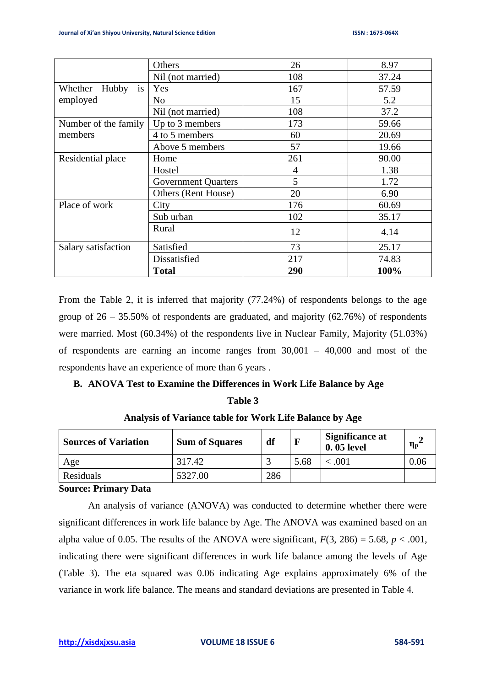|                        | Others                     | 26  | 8.97  |  |
|------------------------|----------------------------|-----|-------|--|
|                        | Nil (not married)          | 108 | 37.24 |  |
| is<br>Hubby<br>Whether | Yes                        | 167 | 57.59 |  |
| employed               | N <sub>o</sub>             | 15  | 5.2   |  |
|                        | Nil (not married)          | 108 | 37.2  |  |
| Number of the family   | Up to 3 members            | 173 | 59.66 |  |
| members                | 4 to 5 members             | 60  | 20.69 |  |
|                        | Above 5 members            | 57  | 19.66 |  |
| Residential place      | Home                       | 261 | 90.00 |  |
|                        | Hostel                     | 4   | 1.38  |  |
|                        | <b>Government Quarters</b> | 5   | 1.72  |  |
|                        | Others (Rent House)        | 20  | 6.90  |  |
| Place of work          | City                       | 176 | 60.69 |  |
|                        | Sub urban                  | 102 | 35.17 |  |
|                        | Rural                      | 12  | 4.14  |  |
| Salary satisfaction    | Satisfied                  | 73  | 25.17 |  |
|                        | Dissatisfied               | 217 | 74.83 |  |
|                        | <b>Total</b>               | 290 | 100%  |  |

From the Table 2, it is inferred that majority (77.24%) of respondents belongs to the age group of  $26 - 35.50\%$  of respondents are graduated, and majority (62.76%) of respondents were married. Most (60.34%) of the respondents live in Nuclear Family, Majority (51.03%) of respondents are earning an income ranges from  $30,001 - 40,000$  and most of the respondents have an experience of more than 6 years .

## **B. ANOVA Test to Examine the Differences in Work Life Balance by Age**

| <b>Sources of Variation</b>                                           | <b>Sum of Squares</b> | df  |      | <b>Significance at</b><br>0.05 level | $\eta_{\rm p}$ |  |
|-----------------------------------------------------------------------|-----------------------|-----|------|--------------------------------------|----------------|--|
| Age                                                                   | 317.42                |     | 5.68 | < .001                               | 0.06           |  |
| Residuals                                                             | 5327.00               | 286 |      |                                      |                |  |
| $\mathbb{C}$ outpatch $\mathbf{D}$ $\mathbf{L}$ is a set $\mathbf{D}$ |                       |     |      |                                      |                |  |

## **Analysis of Variance table for Work Life Balance by Age**

**Table 3**

#### **Source: Primary Data**

An analysis of variance (ANOVA) was conducted to determine whether there were significant differences in work life balance by Age. The ANOVA was examined based on an alpha value of 0.05. The results of the ANOVA were significant,  $F(3, 286) = 5.68$ ,  $p < .001$ , indicating there were significant differences in work life balance among the levels of Age (Table 3). The eta squared was 0.06 indicating Age explains approximately 6% of the variance in work life balance. The means and standard deviations are presented in Table 4.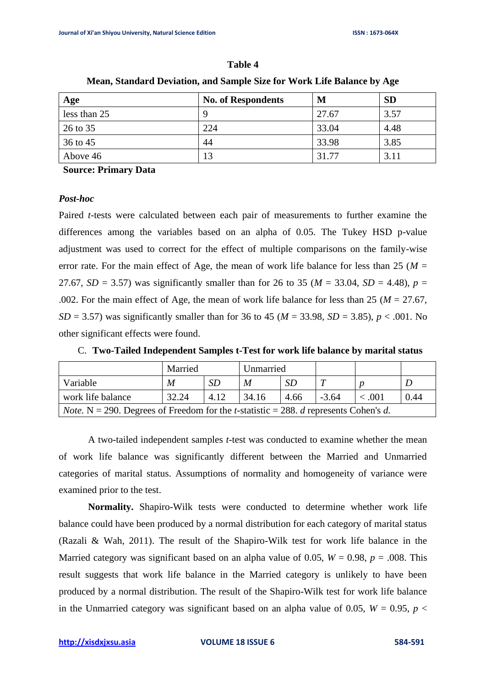#### **Table 4**

| Age          | <b>No. of Respondents</b> | M     | <b>SD</b> |
|--------------|---------------------------|-------|-----------|
| less than 25 |                           | 27.67 | 3.57      |
| 26 to 35     | 224                       | 33.04 | 4.48      |
| 36 to 45     | 44                        | 33.98 | 3.85      |
| Above 46     | 13                        | 31.77 | 3.11      |

**Mean, Standard Deviation, and Sample Size for Work Life Balance by Age**

**Source: Primary Data**

#### *Post-hoc*

Paired *t*-tests were calculated between each pair of measurements to further examine the differences among the variables based on an alpha of 0.05. The Tukey HSD p-value adjustment was used to correct for the effect of multiple comparisons on the family-wise error rate. For the main effect of Age, the mean of work life balance for less than 25 ( $M =$ 27.67, *SD* = 3.57) was significantly smaller than for 26 to 35 ( $M = 33.04$ , *SD* = 4.48), *p* = .002. For the main effect of Age, the mean of work life balance for less than 25 ( $M = 27.67$ , *SD* = 3.57) was significantly smaller than for 36 to 45 ( $M = 33.98$ , *SD* = 3.85), *p* < .001. No other significant effects were found.

|                                                                                                                    | Married<br>Unmarried |      |       |      |         |            |      |
|--------------------------------------------------------------------------------------------------------------------|----------------------|------|-------|------|---------|------------|------|
| Variable                                                                                                           | M                    | SD.  | M     | SD   |         |            |      |
| work life balance                                                                                                  | 32.24                | 4.12 | 34.16 | 4.66 | $-3.64$ | $\leq 001$ | 0.44 |
| <i>Note.</i> N = 290. Degrees of Freedom for the <i>t</i> -statistic = 288. <i>d</i> represents Cohen's <i>d</i> . |                      |      |       |      |         |            |      |

C. **Two-Tailed Independent Samples t-Test for work life balance by marital status**

A two-tailed independent samples *t*-test was conducted to examine whether the mean of work life balance was significantly different between the Married and Unmarried categories of marital status. Assumptions of normality and homogeneity of variance were examined prior to the test.

**Normality.** Shapiro-Wilk tests were conducted to determine whether work life balance could have been produced by a normal distribution for each category of marital status (Razali & Wah, 2011). The result of the Shapiro-Wilk test for work life balance in the Married category was significant based on an alpha value of 0.05,  $W = 0.98$ ,  $p = .008$ . This result suggests that work life balance in the Married category is unlikely to have been produced by a normal distribution. The result of the Shapiro-Wilk test for work life balance in the Unmarried category was significant based on an alpha value of 0.05,  $W = 0.95$ ,  $p <$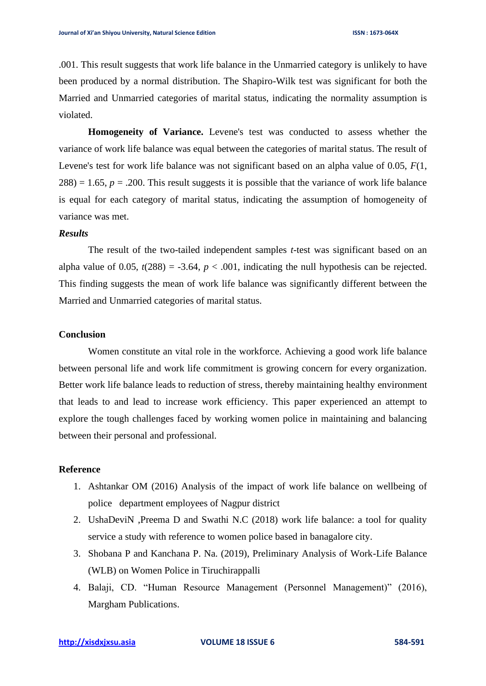.001. This result suggests that work life balance in the Unmarried category is unlikely to have been produced by a normal distribution. The Shapiro-Wilk test was significant for both the Married and Unmarried categories of marital status, indicating the normality assumption is violated.

**Homogeneity of Variance.** Levene's test was conducted to assess whether the variance of work life balance was equal between the categories of marital status. The result of Levene's test for work life balance was not significant based on an alpha value of 0.05, *F*(1,  $288$ ) = 1.65,  $p = .200$ . This result suggests it is possible that the variance of work life balance is equal for each category of marital status, indicating the assumption of homogeneity of variance was met.

#### *Results*

The result of the two-tailed independent samples *t*-test was significant based on an alpha value of 0.05,  $t(288) = -3.64$ ,  $p < .001$ , indicating the null hypothesis can be rejected. This finding suggests the mean of work life balance was significantly different between the Married and Unmarried categories of marital status.

## **Conclusion**

Women constitute an vital role in the workforce. Achieving a good work life balance between personal life and work life commitment is growing concern for every organization. Better work life balance leads to reduction of stress, thereby maintaining healthy environment that leads to and lead to increase work efficiency. This paper experienced an attempt to explore the tough challenges faced by working women police in maintaining and balancing between their personal and professional.

## **Reference**

- 1. Ashtankar OM (2016) Analysis of the impact of work life balance on wellbeing of police department employees of Nagpur district
- 2. UshaDeviN ,Preema D and Swathi N.C (2018) work life balance: a tool for quality service a study with reference to women police based in banagalore city.
- 3. Shobana P and Kanchana P. Na. (2019), Preliminary Analysis of Work-Life Balance (WLB) on Women Police in Tiruchirappalli
- 4. Balaji, CD. "Human Resource Management (Personnel Management)" (2016), Margham Publications.